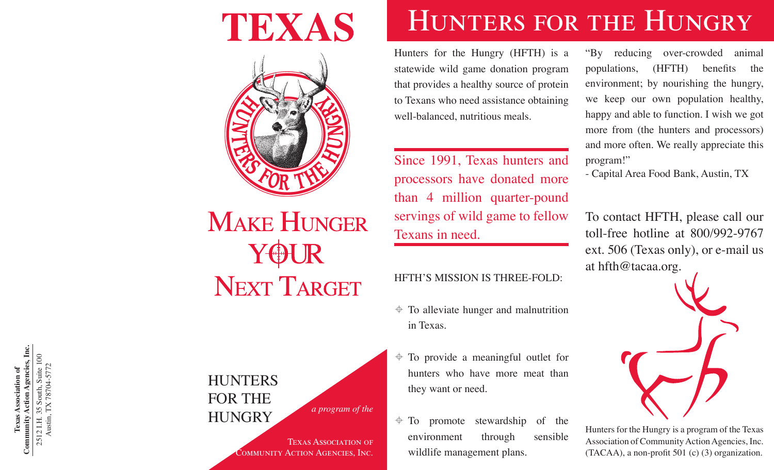### TEXAS



# **MAKE HUNGER NEXT TARGET**

**HUNTERS** For The HUNGRY *a program of the* 

**Texas Association of Community Action Agencies, Inc.** 2512 I.H. 35 South, Suite 100 Austin, TX 78704-5772

Texas Association of<br>Community Action Agencies, Inc.

2512 I.H. 35 South, Suite 100<br>Austin, TX 78704-5772

Texas Association of Community Action Agencies, Inc.

### HUNTERS FOR THE HUNGRY

Hunters for the Hungry (HFTH) is a statewide wild game donation program that provides a healthy source of protein to Texans who need assistance obtaining well-balanced, nutritious meals.

Since 1991, Texas hunters and processors have donated more than 4 million quarter-pound servings of wild game to fellow Texans in need.

#### HFTH'S MISSION IS THREE-FOLD:

- $\triangleq$  To alleviate hunger and malnutrition in Texas.
- $\div$  To provide a meaningful outlet for hunters who have more meat than they want or need.
- $\div$  To promote stewardship of the environment through sensible wildlife management plans.

"By reducing over-crowded animal populations, (HFTH) benefits the environment; by nourishing the hungry, we keep our own population healthy, happy and able to function. I wish we got more from (the hunters and processors) and more often. We really appreciate this program!"

- Capital Area Food Bank, Austin, TX

To contact HFTH, please call our toll-free hotline at 800/992-9767 ext. 506 (Texas only), or e-mail us at hfth@tacaa.org.



Hunters for the Hungry is a program of the Texas Association of Community Action Agencies, Inc. (TACAA), a non-profit 501 (c) (3) organization.